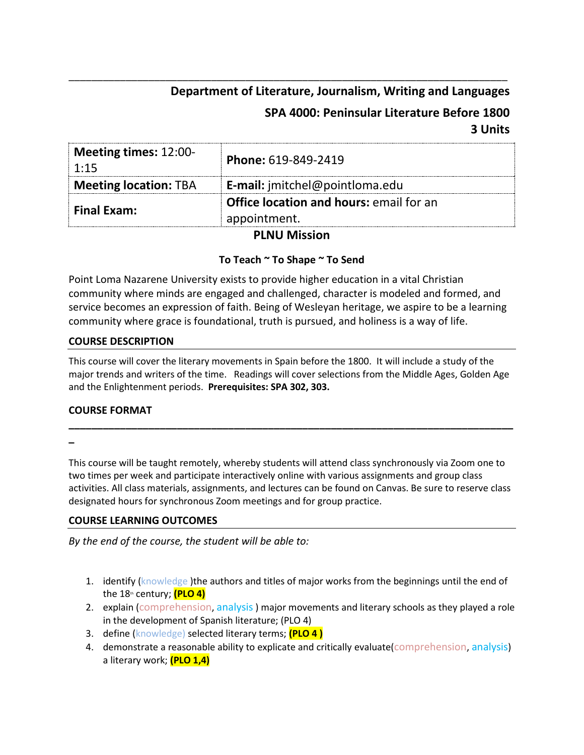# **Department of Literature, Journalism, Writing and Languages**

# **SPA 4000: Peninsular Literature Before 1800 3 Units**

| Meeting times: 12:00-<br>1:15 | Phone: 619-849-2419                            |  |
|-------------------------------|------------------------------------------------|--|
| <b>Meeting location: TBA</b>  | E-mail: jmitchel@pointloma.edu                 |  |
| <b>Final Exam:</b>            | <b>Office location and hours: email for an</b> |  |
|                               | appointment.                                   |  |

\_\_\_\_\_\_\_\_\_\_\_\_\_\_\_\_\_\_\_\_\_\_\_\_\_\_\_\_\_\_\_\_\_\_\_\_\_\_\_\_\_\_\_\_\_\_\_\_\_\_\_\_\_\_\_\_\_\_\_\_\_\_\_\_\_\_\_\_\_\_\_\_\_\_\_\_\_

# **PLNU Mission**

# **To Teach ~ To Shape ~ To Send**

Point Loma Nazarene University exists to provide higher education in a vital Christian community where minds are engaged and challenged, character is modeled and formed, and service becomes an expression of faith. Being of Wesleyan heritage, we aspire to be a learning community where grace is foundational, truth is pursued, and holiness is a way of life.

### **COURSE DESCRIPTION**

This course will cover the literary movements in Spain before the 1800. It will include a study of the major trends and writers of the time. Readings will cover selections from the Middle Ages, Golden Age and the Enlightenment periods. **Prerequisites: SPA 302, 303.**

**\_\_\_\_\_\_\_\_\_\_\_\_\_\_\_\_\_\_\_\_\_\_\_\_\_\_\_\_\_\_\_\_\_\_\_\_\_\_\_\_\_\_\_\_\_\_\_\_\_\_\_\_\_\_\_\_\_\_\_\_\_\_\_\_\_\_\_\_\_\_\_\_\_\_\_\_\_\_**

#### **COURSE FORMAT**

**\_**

This course will be taught remotely, whereby students will attend class synchronously via Zoom one to two times per week and participate interactively online with various assignments and group class activities. All class materials, assignments, and lectures can be found on Canvas. Be sure to reserve class designated hours for synchronous Zoom meetings and for group practice.

### **COURSE LEARNING OUTCOMES**

*By the end of the course, the student will be able to:*

- 1. identify (knowledge) the authors and titles of major works from the beginnings until the end of the 18<sup>th</sup> century; **(PLO 4)**
- 2. explain (comprehension, analysis) major movements and literary schools as they played a role in the development of Spanish literature; (PLO 4)
- 3. define (knowledge) selected literary terms; **(PLO 4 )**
- 4. demonstrate a reasonable ability to explicate and critically evaluate (comprehension, analysis) a literary work; **(PLO 1,4)**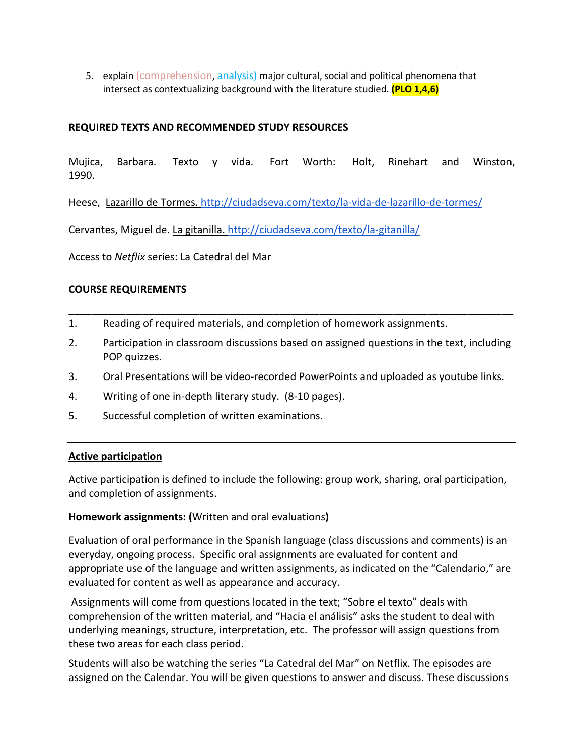5. explain (comprehension, analysis) major cultural, social and political phenomena that intersect as contextualizing background with the literature studied. **(PLO 1,4,6)**

## **REQUIRED TEXTS AND RECOMMENDED STUDY RESOURCES**

Mujica, Barbara. Texto y vida. Fort Worth: Holt, Rinehart and Winston, 1990.

Heese, Lazarillo de Tormes.<http://ciudadseva.com/texto/la-vida-de-lazarillo-de-tormes/>

Cervantes, Miguel de. La gitanilla[. http://ciudadseva.com/texto/la-gitanilla/](http://ciudadseva.com/texto/la-gitanilla/)

Access to *Netflix* series: La Catedral del Mar

### **COURSE REQUIREMENTS**

- 1. Reading of required materials, and completion of homework assignments.
- 2. Participation in classroom discussions based on assigned questions in the text, including POP quizzes.

\_\_\_\_\_\_\_\_\_\_\_\_\_\_\_\_\_\_\_\_\_\_\_\_\_\_\_\_\_\_\_\_\_\_\_\_\_\_\_\_\_\_\_\_\_\_\_\_\_\_\_\_\_\_\_\_\_\_\_\_\_\_\_\_\_\_\_\_\_\_\_\_\_\_\_\_\_\_

- 3. Oral Presentations will be video-recorded PowerPoints and uploaded as youtube links.
- 4. Writing of one in-depth literary study. (8-10 pages).
- 5. Successful completion of written examinations.

### **Active participation**

Active participation is defined to include the following: group work, sharing, oral participation, and completion of assignments.

### **Homework assignments: (**Written and oral evaluations**)**

Evaluation of oral performance in the Spanish language (class discussions and comments) is an everyday, ongoing process. Specific oral assignments are evaluated for content and appropriate use of the language and written assignments, as indicated on the "Calendario," are evaluated for content as well as appearance and accuracy.

Assignments will come from questions located in the text; "Sobre el texto" deals with comprehension of the written material, and "Hacia el análisis" asks the student to deal with underlying meanings, structure, interpretation, etc. The professor will assign questions from these two areas for each class period.

Students will also be watching the series "La Catedral del Mar" on Netflix. The episodes are assigned on the Calendar. You will be given questions to answer and discuss. These discussions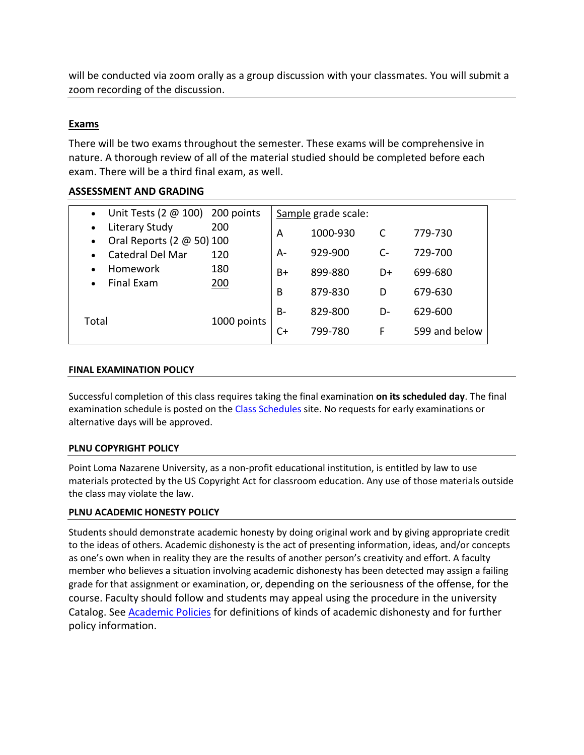will be conducted via zoom orally as a group discussion with your classmates. You will submit a zoom recording of the discussion.

# **Exams**

There will be two exams throughout the semester. These exams will be comprehensive in nature. A thorough review of all of the material studied should be completed before each exam. There will be a third final exam, as well.

# **ASSESSMENT AND GRADING**

| Unit Tests $(2 \oplus 100)$ 200 points      |             |           | Sample grade scale: |      |               |
|---------------------------------------------|-------------|-----------|---------------------|------|---------------|
| Literary Study<br>Oral Reports (2 @ 50) 100 | 200         | A         | 1000-930            | C    | 779-730       |
| Catedral Del Mar                            | 120         | A-        | 929-900             | $C-$ | 729-700       |
| <b>Homework</b><br><b>Final Exam</b>        | 180<br>200  | B+        | 899-880             | D+   | 699-680       |
|                                             |             | B         | 879-830             | D    | 679-630       |
| Total                                       | 1000 points | <b>B-</b> | 829-800             | D-   | 629-600       |
|                                             |             | C+        | 799-780             | F    | 599 and below |

#### **FINAL EXAMINATION POLICY**

Successful completion of this class requires taking the final examination **on its scheduled day**. The final examination schedule is posted on th[e Class Schedules](http://www.pointloma.edu/experience/academics/class-schedules) site. No requests for early examinations or alternative days will be approved.

### **PLNU COPYRIGHT POLICY**

Point Loma Nazarene University, as a non-profit educational institution, is entitled by law to use materials protected by the US Copyright Act for classroom education. Any use of those materials outside the class may violate the law.

### **PLNU ACADEMIC HONESTY POLICY**

Students should demonstrate academic honesty by doing original work and by giving appropriate credit to the ideas of others. Academic dishonesty is the act of presenting information, ideas, and/or concepts as one's own when in reality they are the results of another person's creativity and effort. A faculty member who believes a situation involving academic dishonesty has been detected may assign a failing grade for that assignment or examination, or, depending on the seriousness of the offense, for the course. Faculty should follow and students may appeal using the procedure in the university Catalog. See [Academic Policies](http://catalog.pointloma.edu/content.php?catoid=18&navoid=1278) for definitions of kinds of academic dishonesty and for further policy information.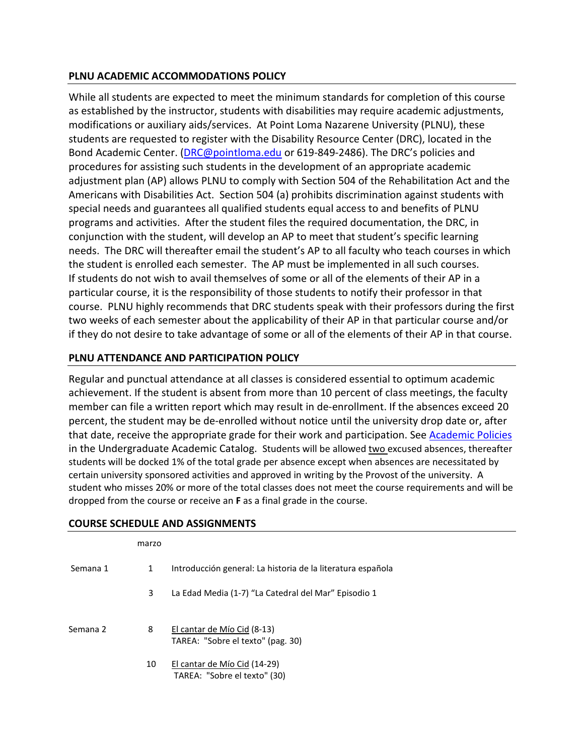# **PLNU ACADEMIC ACCOMMODATIONS POLICY**

While all students are expected to meet the minimum standards for completion of this course as established by the instructor, students with disabilities may require academic adjustments, modifications or auxiliary aids/services. At Point Loma Nazarene University (PLNU), these students are requested to register with the Disability Resource Center (DRC), located in the Bond Academic Center. [\(DRC@pointloma.edu](mailto:DRC@pointloma.edu) or 619-849-2486). The DRC's policies and procedures for assisting such students in the development of an appropriate academic adjustment plan (AP) allows PLNU to comply with Section 504 of the Rehabilitation Act and the Americans with Disabilities Act. Section 504 (a) prohibits discrimination against students with special needs and guarantees all qualified students equal access to and benefits of PLNU programs and activities. After the student files the required documentation, the DRC, in conjunction with the student, will develop an AP to meet that student's specific learning needs. The DRC will thereafter email the student's AP to all faculty who teach courses in which the student is enrolled each semester. The AP must be implemented in all such courses. If students do not wish to avail themselves of some or all of the elements of their AP in a particular course, it is the responsibility of those students to notify their professor in that course. PLNU highly recommends that DRC students speak with their professors during the first two weeks of each semester about the applicability of their AP in that particular course and/or if they do not desire to take advantage of some or all of the elements of their AP in that course.

# **PLNU ATTENDANCE AND PARTICIPATION POLICY**

Regular and punctual attendance at all classes is considered essential to optimum academic achievement. If the student is absent from more than 10 percent of class meetings, the faculty member can file a written report which may result in de-enrollment. If the absences exceed 20 percent, the student may be de-enrolled without notice until the university drop date or, after that date, receive the appropriate grade for their work and participation. See [Academic Policies](http://catalog.pointloma.edu/content.php?catoid=18&navoid=1278) in the Undergraduate Academic Catalog. Students will be allowed two excused absences, thereafter students will be docked 1% of the total grade per absence except when absences are necessitated by certain university sponsored activities and approved in writing by the Provost of the university. A student who misses 20% or more of the total classes does not meet the course requirements and will be dropped from the course or receive an **F** as a final grade in the course.

|          | marzo |                                                                  |
|----------|-------|------------------------------------------------------------------|
| Semana 1 | 1     | Introducción general: La historia de la literatura española      |
|          | 3     | La Edad Media (1-7) "La Catedral del Mar" Episodio 1             |
| Semana 2 | 8     | El cantar de Mío Cid (8-13)<br>TAREA: "Sobre el texto" (pag. 30) |
|          | 10    | El cantar de Mío Cid (14-29)<br>TAREA: "Sobre el texto" (30)     |

### **COURSE SCHEDULE AND ASSIGNMENTS**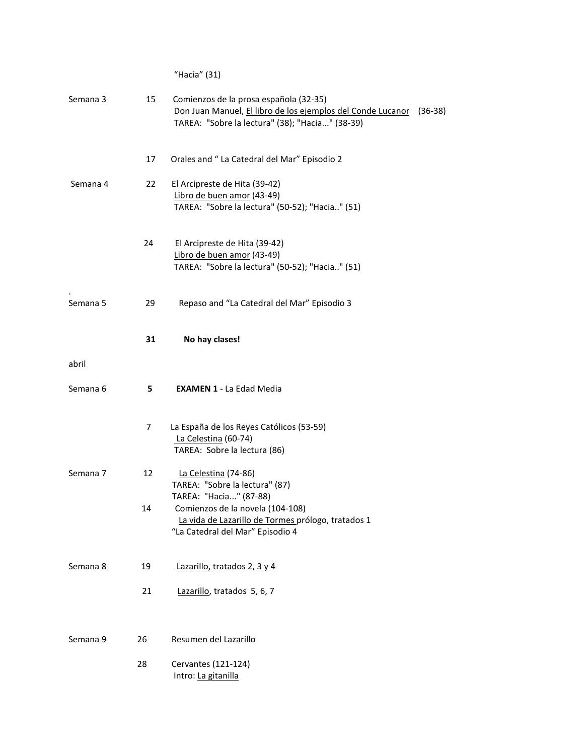|          |    | "Hacia" (31)                                                                                                                                                     |
|----------|----|------------------------------------------------------------------------------------------------------------------------------------------------------------------|
| Semana 3 | 15 | Comienzos de la prosa española (32-35)<br>Don Juan Manuel, El libro de los ejemplos del Conde Lucanor (36-38)<br>TAREA: "Sobre la lectura" (38); "Hacia" (38-39) |
|          | 17 | Orales and "La Catedral del Mar" Episodio 2                                                                                                                      |
| Semana 4 | 22 | El Arcipreste de Hita (39-42)<br>Libro de buen amor (43-49)<br>TAREA: "Sobre la lectura" (50-52); "Hacia" (51)                                                   |
|          | 24 | El Arcipreste de Hita (39-42)<br>Libro de buen amor (43-49)<br>TAREA: "Sobre la lectura" (50-52); "Hacia" (51)                                                   |
| Semana 5 | 29 | Repaso and "La Catedral del Mar" Episodio 3                                                                                                                      |
|          | 31 | No hay clases!                                                                                                                                                   |
| abril    |    |                                                                                                                                                                  |
| Semana 6 | 5  | <b>EXAMEN 1 - La Edad Media</b>                                                                                                                                  |
|          | 7  | La España de los Reyes Católicos (53-59)<br>La Celestina (60-74)<br>TAREA: Sobre la lectura (86)                                                                 |
| Semana 7 | 12 | La Celestina (74-86)<br>TAREA: "Sobre la lectura" (87)                                                                                                           |
|          | 14 | TAREA: "Hacia" (87-88)<br>Comienzos de la novela (104-108)<br>La vida de Lazarillo de Tormes prólogo, tratados 1<br>"La Catedral del Mar" Episodio 4             |
| Semana 8 | 19 | Lazarillo, tratados 2, 3 y 4                                                                                                                                     |
|          | 21 | Lazarillo, tratados 5, 6, 7                                                                                                                                      |
| Semana 9 | 26 | Resumen del Lazarillo                                                                                                                                            |
|          | 28 | Cervantes (121-124)<br>Intro: La gitanilla                                                                                                                       |